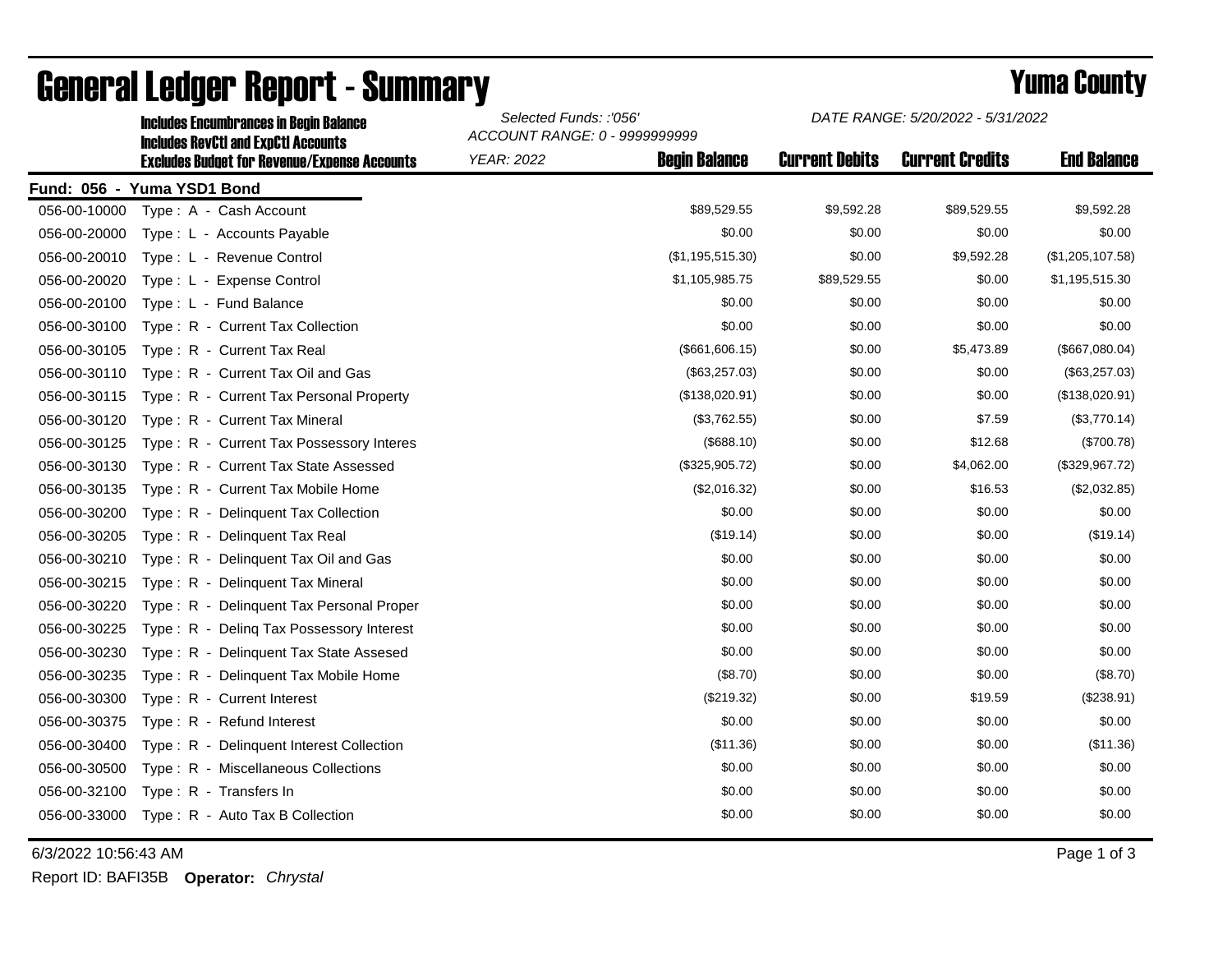|              | <b>Includes RevCtI and ExpCtI Accounts</b>          | ACCOUNT RANGE: 0 - 9999999999 |                      |                       |                        |                    |  |  |
|--------------|-----------------------------------------------------|-------------------------------|----------------------|-----------------------|------------------------|--------------------|--|--|
|              | <b>Excludes Budget for Revenue/Expense Accounts</b> | <b>YEAR: 2022</b>             | <b>Begin Balance</b> | <b>Current Debits</b> | <b>Current Credits</b> | <b>End Balance</b> |  |  |
|              | Fund: 056 - Yuma YSD1 Bond                          |                               |                      |                       |                        |                    |  |  |
| 056-00-10000 | Type: A - Cash Account                              |                               | \$89,529.55          | \$9,592.28            | \$89,529.55            | \$9,592.28         |  |  |
| 056-00-20000 | Type: L - Accounts Payable                          |                               | \$0.00               | \$0.00                | \$0.00                 | \$0.00             |  |  |
| 056-00-20010 | Type: L - Revenue Control                           |                               | (\$1,195,515.30)     | \$0.00                | \$9,592.28             | (\$1,205,107.58)   |  |  |
| 056-00-20020 | Type: L - Expense Control                           |                               | \$1,105,985.75       | \$89,529.55           | \$0.00                 | \$1,195,515.30     |  |  |
| 056-00-20100 | Type: L - Fund Balance                              |                               | \$0.00               | \$0.00                | \$0.00                 | \$0.00             |  |  |
| 056-00-30100 | Type: R - Current Tax Collection                    |                               | \$0.00               | \$0.00                | \$0.00                 | \$0.00             |  |  |
| 056-00-30105 | Type: R - Current Tax Real                          |                               | (\$661,606.15)       | \$0.00                | \$5,473.89             | (\$667,080.04)     |  |  |
| 056-00-30110 | Type: R - Current Tax Oil and Gas                   |                               | (\$63,257.03)        | \$0.00                | \$0.00                 | (\$63,257.03)      |  |  |
| 056-00-30115 | Type: R - Current Tax Personal Property             |                               | (\$138,020.91)       | \$0.00                | \$0.00                 | (\$138,020.91)     |  |  |
| 056-00-30120 | Type: R - Current Tax Mineral                       |                               | (\$3,762.55)         | \$0.00                | \$7.59                 | (\$3,770.14)       |  |  |
| 056-00-30125 | Type: R - Current Tax Possessory Interes            |                               | (\$688.10)           | \$0.00                | \$12.68                | (\$700.78)         |  |  |
| 056-00-30130 | Type: R - Current Tax State Assessed                |                               | (\$325,905.72)       | \$0.00                | \$4,062.00             | (\$329,967.72)     |  |  |
| 056-00-30135 | Type: R - Current Tax Mobile Home                   |                               | (\$2,016.32)         | \$0.00                | \$16.53                | (\$2,032.85)       |  |  |
| 056-00-30200 | Type: R - Delinquent Tax Collection                 |                               | \$0.00               | \$0.00                | \$0.00                 | \$0.00             |  |  |
| 056-00-30205 | Type: R - Delinquent Tax Real                       |                               | (\$19.14)            | \$0.00                | \$0.00                 | (\$19.14)          |  |  |
| 056-00-30210 | Type: R - Delinquent Tax Oil and Gas                |                               | \$0.00               | \$0.00                | \$0.00                 | \$0.00             |  |  |
| 056-00-30215 | Type: R - Delinquent Tax Mineral                    |                               | \$0.00               | \$0.00                | \$0.00                 | \$0.00             |  |  |
| 056-00-30220 | Type: R - Delinquent Tax Personal Proper            |                               | \$0.00               | \$0.00                | \$0.00                 | \$0.00             |  |  |
| 056-00-30225 | Type: R - Deling Tax Possessory Interest            |                               | \$0.00               | \$0.00                | \$0.00                 | \$0.00             |  |  |
| 056-00-30230 | Type: R - Delinquent Tax State Assesed              |                               | \$0.00               | \$0.00                | \$0.00                 | \$0.00             |  |  |
| 056-00-30235 | Type: R - Delinquent Tax Mobile Home                |                               | (\$8.70)             | \$0.00                | \$0.00                 | (\$8.70)           |  |  |
| 056-00-30300 | Type: R - Current Interest                          |                               | (\$219.32)           | \$0.00                | \$19.59                | (\$238.91)         |  |  |
| 056-00-30375 | Type: R - Refund Interest                           |                               | \$0.00               | \$0.00                | \$0.00                 | \$0.00             |  |  |
| 056-00-30400 | Type: R - Delinquent Interest Collection            |                               | (\$11.36)            | \$0.00                | \$0.00                 | (\$11.36)          |  |  |
| 056-00-30500 | Type: R - Miscellaneous Collections                 |                               | \$0.00               | \$0.00                | \$0.00                 | \$0.00             |  |  |
| 056-00-32100 | Type: R - Transfers In                              |                               | \$0.00               | \$0.00                | \$0.00                 | \$0.00             |  |  |
| 056-00-33000 | Type: R - Auto Tax B Collection                     |                               | \$0.00               | \$0.00                | \$0.00                 | \$0.00             |  |  |

## General Ledger Report - Summary **Example 2018** Yuma County

Includes Encumbrances in Begin Balance *Selected Funds: :'056'*

6/3/2022 10:56:43 AM Page 1 of 3

Report ID: BAFI35B **Operator:** *Chrystal*

*DATE RANGE: 5/20/2022 - 5/31/2022*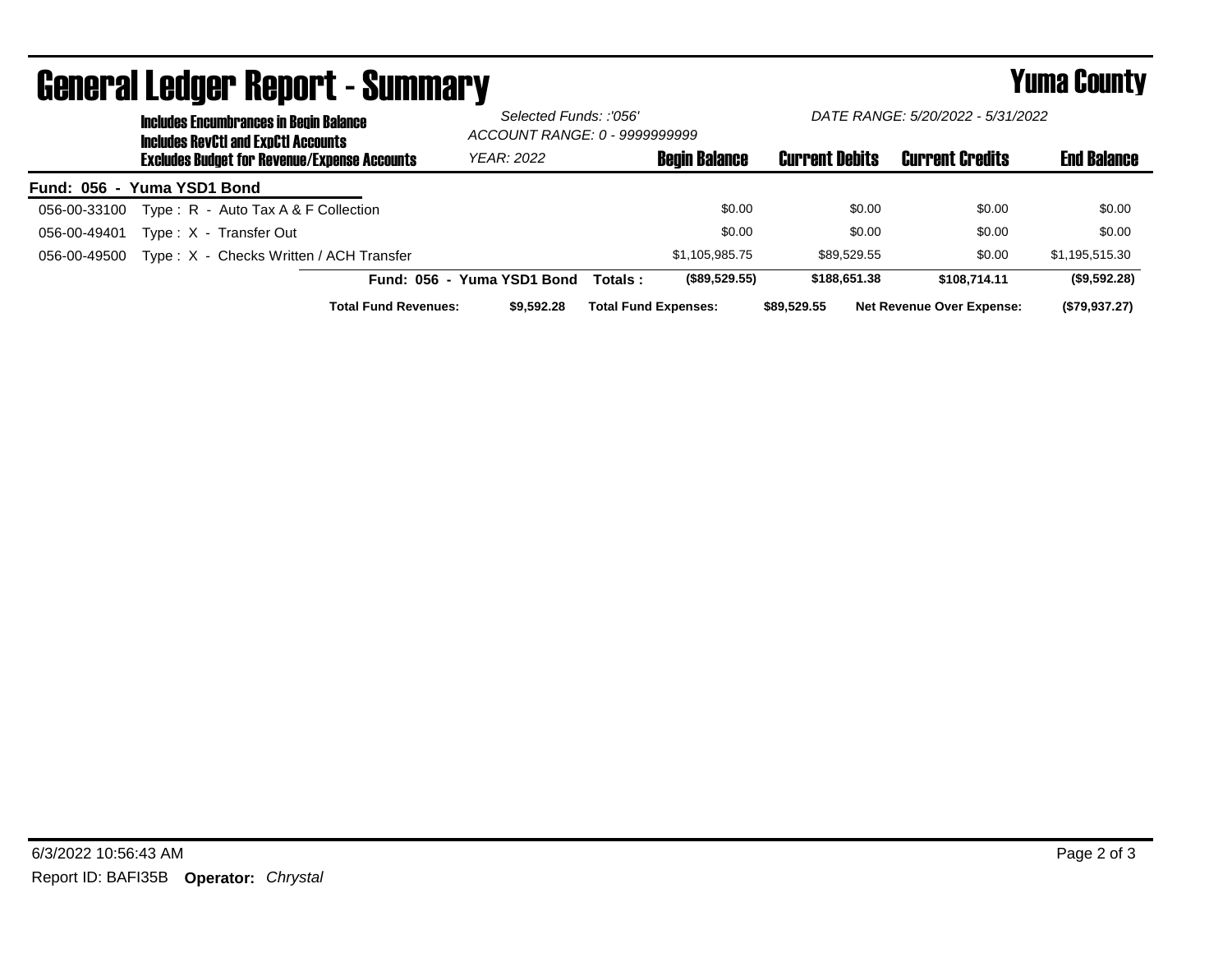|                            | <b>Includes Encumbrances in Begin Balance</b><br><b>Includes RevCtI and ExpCtI Accounts</b> |                                                     |                             | Selected Funds: :'056'<br>ACCOUNT RANGE: 0 - 9999999999 |          | DATE RANGE: 5/20/2022 - 5/31/2022 |                       |                                  |                    |
|----------------------------|---------------------------------------------------------------------------------------------|-----------------------------------------------------|-----------------------------|---------------------------------------------------------|----------|-----------------------------------|-----------------------|----------------------------------|--------------------|
|                            |                                                                                             | <b>Excludes Budget for Revenue/Expense Accounts</b> |                             | <b>YEAR: 2022</b>                                       |          | <b>Begin Balance</b>              | <b>Current Debits</b> | <b>Current Credits</b>           | <b>End Balance</b> |
| Fund: 056 - Yuma YSD1 Bond |                                                                                             |                                                     |                             |                                                         |          |                                   |                       |                                  |                    |
| 056-00-33100               |                                                                                             | Type: $R -$ Auto Tax A & F Collection               |                             |                                                         |          | \$0.00                            | \$0.00                | \$0.00                           | \$0.00             |
| 056-00-49401               |                                                                                             | Type: X - Transfer Out                              |                             |                                                         |          | \$0.00                            | \$0.00                | \$0.00                           | \$0.00             |
| 056-00-49500               |                                                                                             | Type: X - Checks Written / ACH Transfer             |                             |                                                         |          | \$1.105.985.75                    | \$89.529.55           | \$0.00                           | \$1,195,515.30     |
|                            |                                                                                             |                                                     | Fund: 056 - Yuma YSD1 Bond  |                                                         | Totals : | (\$89,529.55)                     | \$188,651.38          | \$108,714,11                     | (\$9,592.28)       |
|                            |                                                                                             |                                                     | <b>Total Fund Revenues:</b> | \$9,592.28                                              |          | <b>Total Fund Expenses:</b>       | \$89,529.55           | <b>Net Revenue Over Expense:</b> | (\$79,937.27)      |

## General Ledger Report - Summary **Summary Report - Summary**